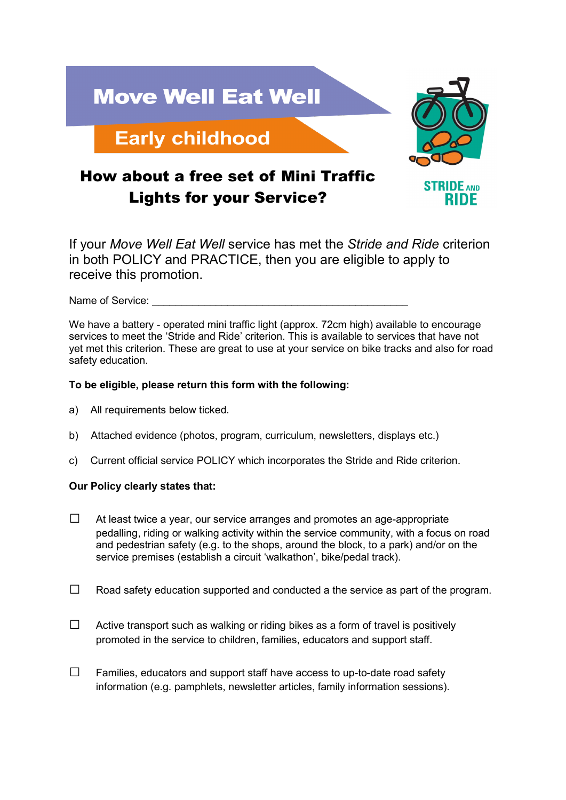

If your *Move Well Eat Well* service has met the *Stride and Ride* criterion in both POLICY and PRACTICE, then you are eligible to apply to receive this promotion.

Name of Service:

We have a battery - operated mini traffic light (approx. 72cm high) available to encourage services to meet the 'Stride and Ride' criterion. This is available to services that have not yet met this criterion. These are great to use at your service on bike tracks and also for road safety education.

## **To be eligible, please return this form with the following:**

- a) All requirements below ticked.
- b) Attached evidence (photos, program, curriculum, newsletters, displays etc.)
- c) Current official service POLICY which incorporates the Stride and Ride criterion.

## **Our Policy clearly states that:**

- $\Box$  At least twice a year, our service arranges and promotes an age-appropriate pedalling, riding or walking activity within the service community, with a focus on road and pedestrian safety (e.g. to the shops, around the block, to a park) and/or on the service premises (establish a circuit 'walkathon', bike/pedal track).
- $\Box$  Road safety education supported and conducted a the service as part of the program.
- $\Box$  Active transport such as walking or riding bikes as a form of travel is positively promoted in the service to children, families, educators and support staff.
- $\square$  Families, educators and support staff have access to up-to-date road safety information (e.g. pamphlets, newsletter articles, family information sessions).